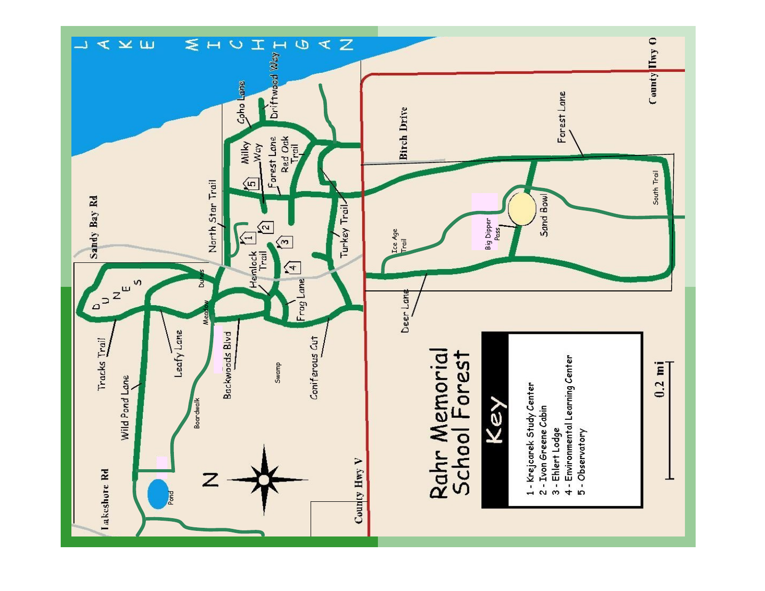